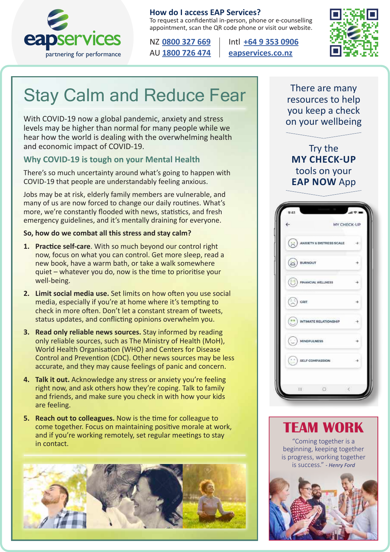

#### **How do I access EAP Services?**

To request a confidential in-person, phone or e-counselling appointment, scan the QR code phone or visit our website.

NZ **[0800 327 669](tel:0800327669)** Intl **[+64 9 353 0906](tel:006493530906)**



## Stay Calm and Reduce Fear

With COVID-19 now a global pandemic, anxiety and stress levels may be higher than normal for many people while we hear how the world is dealing with the overwhelming health and economic impact of COVID-19.

#### **Why COVID-19 is tough on your Mental Health**

There's so much uncertainty around what's going to happen with COVID-19 that people are understandably feeling anxious.

Jobs may be at risk, elderly family members are vulnerable, and many of us are now forced to change our daily routines. What's more, we're constantly flooded with news, statistics, and fresh emergency guidelines, and it's mentally draining for everyone.

#### **So, how do we combat all this stress and stay calm?**

- **1. Practice self-care**. With so much beyond our control right now, focus on what you can control. Get more sleep, read a new book, have a warm bath, or take a walk somewhere quiet – whatever you do, now is the time to prioritise your well-being.
- **2. Limit social media use.** Set limits on how often you use social media, especially if you're at home where it's tempting to check in more often. Don't let a constant stream of tweets, status updates, and conflicting opinions overwhelm you.
- **3. Read only reliable news sources.** Stay informed by reading only reliable sources, such as The Ministry of Health (MoH), World Health Organisation (WHO) and Centers for Disease Control and Prevention (CDC). Other news sources may be less accurate, and they may cause feelings of panic and concern.
- **4. Talk it out.** Acknowledge any stress or anxiety you're feeling right now, and ask others how they're coping. Talk to family and friends, and make sure you check in with how your kids are feeling.
- **5. Reach out to colleagues.** Now is the time for colleague to come together. Focus on maintaining positive morale at work, and if you're working remotely, set regular meetings to stay in contact.



There are many resources to help you keep a check on your wellbeing

Try the **MY CHECK-UP**  tools on your **EAP NOW** App

| $\leftarrow$                                                                               | MY CHECK-UP |
|--------------------------------------------------------------------------------------------|-------------|
| ANXIETY & DISTRESS SCALE                                                                   |             |
| a) <b>nurnout</b>                                                                          |             |
| FINANCIAL WELLNESS                                                                         |             |
| $\odot$ crit                                                                               |             |
| $(\cdot)$ INTIMATE RELATIONSHIP                                                            |             |
| $\bigodot$ mindfulness                                                                     |             |
| $\left(\begin{array}{c} \cdot & \cdot \\ \cdot & \cdot \end{array}\right)$ SELF COMPASSION |             |
| $\Box$<br>册                                                                                |             |



"Coming together is a beginning, keeping together is progress, working together is success." *- Henry Ford*